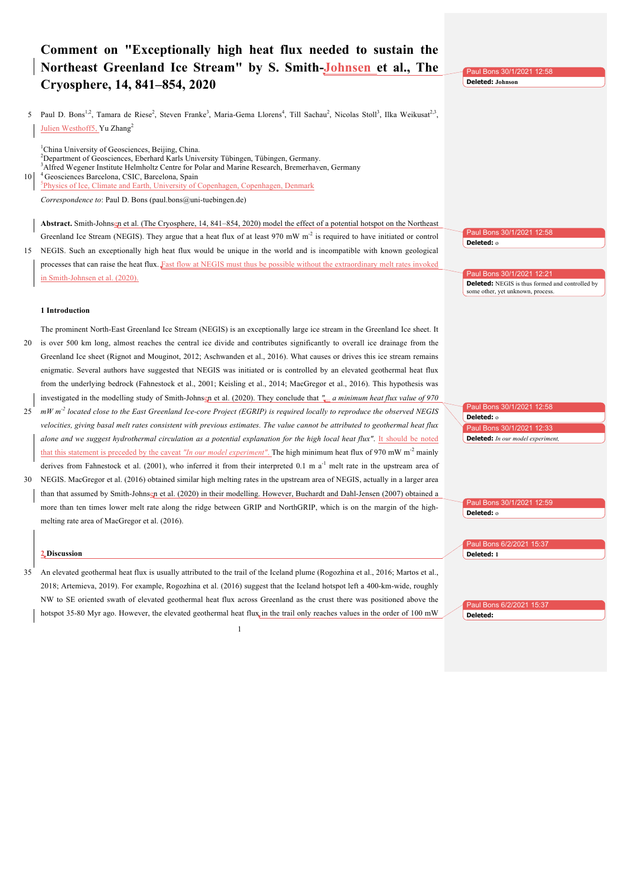# **Comment on "Exceptionally high heat flux needed to sustain the Northeast Greenland Ice Stream" by S. Smith-Johnsen et al., The Cryosphere, 14, 841–854, 2020**

5 Paul D. Bons<sup>1,2</sup>, Tamara de Riese<sup>2</sup>, Steven Franke<sup>3</sup>, Maria-Gema Llorens<sup>4</sup>, Till Sachau<sup>2</sup>, Nicolas Stoll<sup>3</sup>, Ilka Weikusat<sup>2,3</sup>, Julien Westhoff5, Yu Zhang<sup>2</sup>

<sup>1</sup>China University of Geosciences, Beijing, China. 2 Department of Geosciences, Eberhard Karls University Tübingen, Tübingen, Germany. <sup>3</sup> Alfred Wegener Institute Helmholtz Centre for Polar and Marine Research, Bremerhaven, Germany 10<sup>1</sup> Geosciences Barcelona, CSIC, Barcelona, Spain <sup>5</sup>Physics of Ice, Climate and Earth, University of Copenhagen, Copenhagen, Denmark

*Correspondence to*: Paul D. Bons (paul.bons@uni-tuebingen.de)

**Abstract.** Smith-Johnsen et al. (The Cryosphere, 14, 841–854, 2020) model the effect of a potential hotspot on the Northeast Greenland Ice Stream (NEGIS). They argue that a heat flux of at least  $970$  mW m<sup>-2</sup> is required to have initiated or control

15 NEGIS. Such an exceptionally high heat flux would be unique in the world and is incompatible with known geological processes that can raise the heat flux. Fast flow at NEGIS must thus be possible without the extraordinary melt rates invoked in Smith-Johnsen et al. (2020).

## **1 Introduction**

The prominent North-East Greenland Ice Stream (NEGIS) is an exceptionally large ice stream in the Greenland Ice sheet. It 20 is over 500 km long, almost reaches the central ice divide and contributes significantly to overall ice drainage from the Greenland Ice sheet (Rignot and Mouginot, 2012; Aschwanden et al., 2016). What causes or drives this ice stream remains enigmatic. Several authors have suggested that NEGIS was initiated or is controlled by an elevated geothermal heat flux from the underlying bedrock (Fahnestock et al., 2001; Keisling et al., 2014; MacGregor et al., 2016). This hypothesis was investigated in the modelling study of Smith-Johnsen et al. (2020). They conclude that  $\frac{n}{2}$  *a minimum heat flux value of 970* 

- *mW m-2* 25 *located close to the East Greenland Ice-core Project (EGRIP) is required locally to reproduce the observed NEGIS velocities, giving basal melt rates consistent with previous estimates. The value cannot be attributed to geothermal heat flux alone and we suggest hydrothermal circulation as a potential explanation for the high local heat flux"*. It should be noted that this statement is preceded by the caveat "In our model experiment". The high minimum heat flux of 970 mW m<sup>-2</sup> mainly derives from Fahnestock et al. (2001), who inferred it from their interpreted 0.1 m  $a^{-1}$  melt rate in the upstream area of
- 30 NEGIS. MacGregor et al. (2016) obtained similar high melting rates in the upstream area of NEGIS, actually in a larger area than that assumed by Smith-Johnsen et al. (2020) in their modelling. However, Buchardt and Dahl-Jensen (2007) obtained a more than ten times lower melt rate along the ridge between GRIP and NorthGRIP, which is on the margin of the highmelting rate area of MacGregor et al. (2016).

# **2 Discussion**

35 An elevated geothermal heat flux is usually attributed to the trail of the Iceland plume (Rogozhina et al., 2016; Martos et al., 2018; Artemieva, 2019). For example, Rogozhina et al. (2016) suggest that the Iceland hotspot left a 400-km-wide, roughly NW to SE oriented swath of elevated geothermal heat flux across Greenland as the crust there was positioned above the hotspot 35-80 Myr ago. However, the elevated geothermal heat flux in the trail only reaches values in the order of 100 mW

1

Paul Bons 30/1/2021 12:58 **Deleted: Johnson** 

Paul Bons 30/1/2021 40 **Deleted:** o

aul Bons 30/1/2021 **Deleted:** NEGIS is thus formed and controlled by some other, yet unknown, process.

Paul Bons 30/1/2021 12:5 **Deleted:** o aul Bons 30/1/2021 **Deleted:** *In our model experiment,*

Paul Bons 30/1/2021 12:59 45 **Deleted:** o

Paul Bons **Deleted: 1**

aul Bons 6/2/2021 15:37 **Deleted:**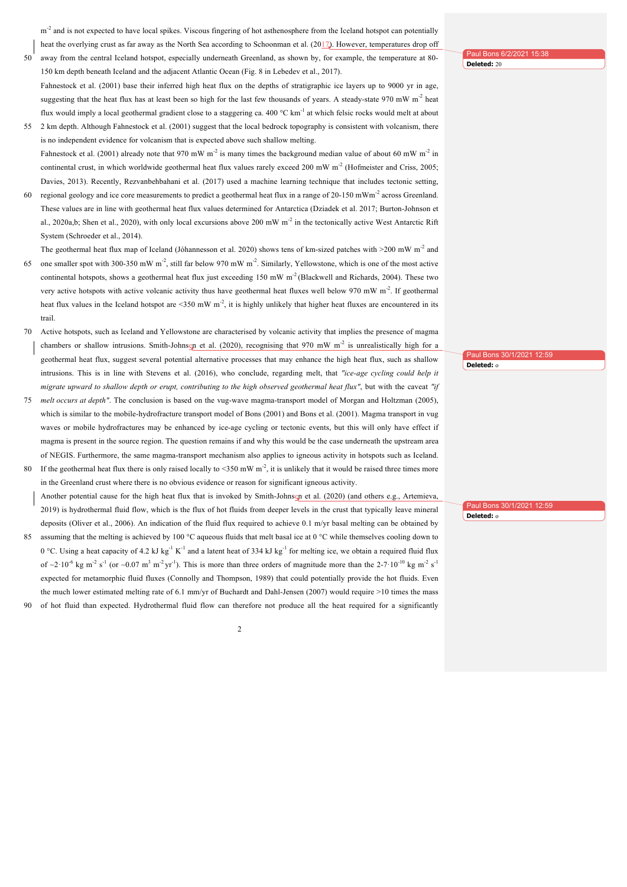$m<sup>2</sup>$  and is not expected to have local spikes. Viscous fingering of hot asthenosphere from the Iceland hotspot can potentially heat the overlying crust as far away as the North Sea according to Schoonman et al. (2017). However, temperatures drop off

50 away from the central Iceland hotspot, especially underneath Greenland, as shown by, for example, the temperature at 80- 150 km depth beneath Iceland and the adjacent Atlantic Ocean (Fig. 8 in Lebedev et al., 2017).

#### Paul Bons 6/2/2021 15:38 **Deleted:** 20

Fahnestock et al. (2001) base their inferred high heat flux on the depths of stratigraphic ice layers up to 9000 yr in age, suggesting that the heat flux has at least been so high for the last few thousands of years. A steady-state 970 mW  $m<sup>2</sup>$  heat flux would imply a local geothermal gradient close to a staggering ca. 400  $^{\circ}$ C km<sup>-1</sup> at which felsic rocks would melt at about

- 2 km depth. Although Fahnestock et al. (2001) suggest that the local bedrock topography is consistent with volcanism, there is no independent evidence for volcanism that is expected above such shallow melting. Fahnestock et al. (2001) already note that 970 mW m<sup>-2</sup> is many times the background median value of about 60 mW m<sup>-2</sup> in continental crust, in which worldwide geothermal heat flux values rarely exceed 200 mW m<sup>-2</sup> (Hofmeister and Criss, 2005; Davies, 2013). Recently, Rezvanbehbahani et al. (2017) used a machine learning technique that includes tectonic setting,
- 60 regional geology and ice core measurements to predict a geothermal heat flux in a range of 20-150 mWm<sup>-2</sup> across Greenland. These values are in line with geothermal heat flux values determined for Antarctica (Dziadek et al. 2017; Burton-Johnson et al., 2020a,b; Shen et al., 2020), with only local excursions above 200 mW  $m^2$  in the tectonically active West Antarctic Rift System (Schroeder et al., 2014).
- The geothermal heat flux map of Iceland (Jóhannesson et al. 2020) shows tens of km-sized patches with  $>200$  mW m<sup>-2</sup> and 65 one smaller spot with 300-350 mW m<sup>-2</sup>, still far below 970 mW m<sup>-2</sup>. Similarly, Yellowstone, which is one of the most active continental hotspots, shows a geothermal heat flux just exceeding 150 mW  $m<sup>2</sup>$  (Blackwell and Richards, 2004). These two very active hotspots with active volcanic activity thus have geothermal heat fluxes well below 970 mW m<sup>-2</sup>. If geothermal heat flux values in the Iceland hotspot are  $\leq 350$  mW m<sup>-2</sup>, it is highly unlikely that higher heat fluxes are encountered in its trail.
- 70 Active hotspots, such as Iceland and Yellowstone are characterised by volcanic activity that implies the presence of magma chambers or shallow intrusions. Smith-Johnsen et al. (2020), recognising that 970 mW m<sup>-2</sup> is unrealistically high for a geothermal heat flux, suggest several potential alternative processes that may enhance the high heat flux, such as shallow intrusions. This is in line with Stevens et al. (2016), who conclude, regarding melt, that *"ice-age cycling could help it migrate upward to shallow depth or erupt, contributing to the high observed geothermal heat flux"*, but with the caveat *"if*
- 75 *melt occurs at depth"*. The conclusion is based on the vug-wave magma-transport model of Morgan and Holtzman (2005), which is similar to the mobile-hydrofracture transport model of Bons (2001) and Bons et al. (2001). Magma transport in vug waves or mobile hydrofractures may be enhanced by ice-age cycling or tectonic events, but this will only have effect if magma is present in the source region. The question remains if and why this would be the case underneath the upstream area of NEGIS. Furthermore, the same magma-transport mechanism also applies to igneous activity in hotspots such as Iceland.
- 80 If the geothermal heat flux there is only raised locally to <350 mW  $m<sup>2</sup>$ , it is unlikely that it would be raised three times more in the Greenland crust where there is no obvious evidence or reason for significant igneous activity.

Another potential cause for the high heat flux that is invoked by Smith-Johnsen et al. (2020) (and others e.g., Artemieva, 2019) is hydrothermal fluid flow, which is the flux of hot fluids from deeper levels in the crust that typically leave mineral deposits (Oliver et al., 2006). An indication of the fluid flux required to achieve 0.1 m/yr basal melting can be obtained by 85 assuming that the melting is achieved by 100 °C aqueous fluids that melt basal ice at 0 °C while themselves cooling down to

- 0 °C. Using a heat capacity of 4.2 kJ kg<sup>-1</sup> K<sup>-1</sup> and a latent heat of 334 kJ kg<sup>-1</sup> for melting ice, we obtain a required fluid flux of ~2·10<sup>-6</sup> kg m<sup>-2</sup> s<sup>-1</sup> (or ~0.07 m<sup>3</sup> m<sup>-2</sup> yr<sup>-1</sup>). This is more than three orders of magnitude more than the 2-7·10<sup>-10</sup> kg m<sup>-2</sup> s<sup>-1</sup> expected for metamorphic fluid fluxes (Connolly and Thompson, 1989) that could potentially provide the hot fluids. Even the much lower estimated melting rate of 6.1 mm/yr of Buchardt and Dahl-Jensen (2007) would require >10 times the mass
- 90 of hot fluid than expected. Hydrothermal fluid flow can therefore not produce all the heat required for a significantly

 $\overline{2}$ 

ıl Bons **Deleted:** o

Paul Bons 30/1/2021 12:59 **Deleted:** o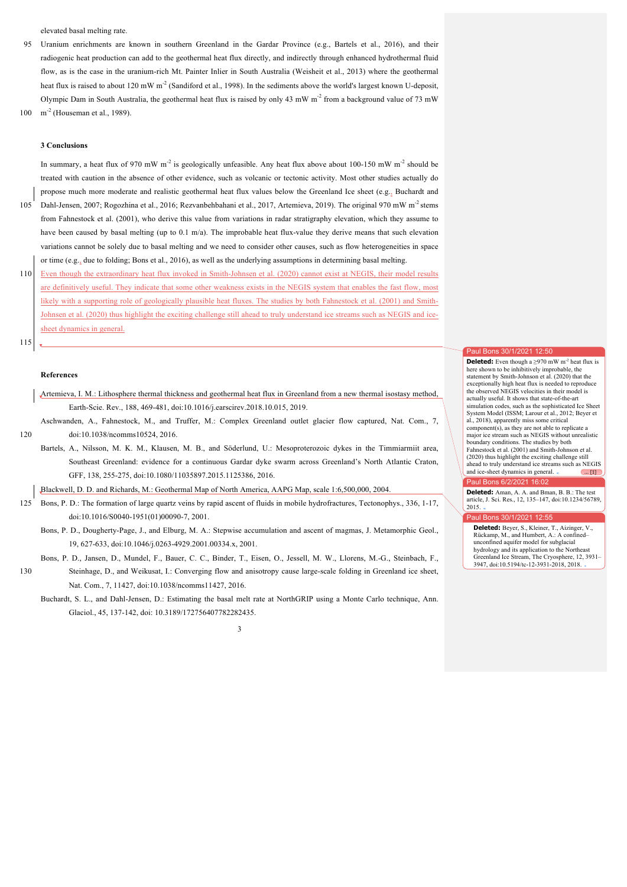elevated basal melting rate.

95 Uranium enrichments are known in southern Greenland in the Gardar Province (e.g., Bartels et al., 2016), and their radiogenic heat production can add to the geothermal heat flux directly, and indirectly through enhanced hydrothermal fluid flow, as is the case in the uranium-rich Mt. Painter Inlier in South Australia (Weisheit et al., 2013) where the geothermal heat flux is raised to about 120 mW m<sup>-2</sup> (Sandiford et al., 1998). In the sediments above the world's largest known U-deposit, Olympic Dam in South Australia, the geothermal heat flux is raised by only 43 mW m<sup>-2</sup> from a background value of 73 mW

100  $\text{m}^{-2}$  (Houseman et al., 1989).

## **3 Conclusions**

In summary, a heat flux of 970 mW m<sup>-2</sup> is geologically unfeasible. Any heat flux above about 100-150 mW m<sup>-2</sup> should be treated with caution in the absence of other evidence, such as volcanic or tectonic activity. Most other studies actually do propose much more moderate and realistic geothermal heat flux values below the Greenland Ice sheet (e.g., Buchardt and 105 Dahl-Jensen, 2007; Rogozhina et al., 2016; Rezvanbehbahani et al., 2017, Artemieva, 2019). The original 970 mW m<sup>-2</sup> stems from Fahnestock et al. (2001), who derive this value from variations in radar stratigraphy elevation, which they assume to have been caused by basal melting (up to 0.1 m/a). The improbable heat flux-value they derive means that such elevation variations cannot be solely due to basal melting and we need to consider other causes, such as flow heterogeneities in space or time (e.g., due to folding; Bons et al., 2016), as well as the underlying assumptions in determining basal melting.

110 Even though the extraordinary heat flux invoked in Smith-Johnsen et al. (2020) cannot exist at NEGIS, their model results are definitively useful. They indicate that some other weakness exists in the NEGIS system that enables the fast flow, most likely with a supporting role of geologically plausible heat fluxes. The studies by both Fahnestock et al. (2001) and Smith-Johnsen et al. (2020) thus highlight the exciting challenge still ahead to truly understand ice streams such as NEGIS and icesheet dynamics in general.

115

## **References**

Artemieva, I. M.: Lithosphere thermal thickness and geothermal heat flux in Greenland from a new thermal isostasy method, Earth-Scie. Rev., 188, 469-481, doi:10.1016/j.earscirev.2018.10.015, 2019.

Aschwanden, A., Fahnestock, M., and Truffer, M.: Complex Greenland outlet glacier flow captured, Nat. Com., 7, 120 doi:10.1038/ncomms10524, 2016.

Bartels, A., Nilsson, M. K. M., Klausen, M. B., and Söderlund, U.: Mesoproterozoic dykes in the Timmiarmiit area, Southeast Greenland: evidence for a continuous Gardar dyke swarm across Greenland's North Atlantic Craton, GFF, 138, 255-275, doi:10.1080/11035897.2015.1125386, 2016.

Blackwell, D. D. and Richards, M.: Geothermal Map of North America, AAPG Map, scale 1:6,500,000, 2004.

- 125 Bons, P. D.: The formation of large quartz veins by rapid ascent of fluids in mobile hydrofractures, Tectonophys., 336, 1-17, doi:10.1016/S0040-1951(01)00090-7, 2001.
	- Bons, P. D., Dougherty-Page, J., and Elburg, M. A.: Stepwise accumulation and ascent of magmas, J. Metamorphic Geol., 19, 627-633, doi:10.1046/j.0263-4929.2001.00334.x, 2001.

Bons, P. D., Jansen, D., Mundel, F., Bauer, C. C., Binder, T., Eisen, O., Jessell, M. W., Llorens, M.-G., Steinbach, F., 130 Steinhage, D., and Weikusat, I.: Converging flow and anisotropy cause large-scale folding in Greenland ice sheet, Nat. Com., 7, 11427, doi:10.1038/ncomms11427, 2016.

Buchardt, S. L., and Dahl-Jensen, D.: Estimating the basal melt rate at NorthGRIP using a Monte Carlo technique, Ann. Glaciol., 45, 137-142, doi: 10.3189/172756407782282435.

### aul Bons 30/1/2021 12:50

**Deleted:** Even though a >970 mW m<sup>-2</sup> heat flux is here shown to be inhibitively improbable, the statement by Smith-Johnson et al. (2020) that the exceptionally high heat flux is needed to reproduce the observed NEGIS velocities in their model is actually useful. It shows that state-of-the-art simulation codes, such as the sophisticated Ice Sheet System Model (ISSM; Larour et al., 2012; Beyer et al., 2018), apparently miss some critical component(s), as they are not able to replicate a major ice stream such as NEGIS without unrealistic boundary conditions. The studies by both Fahrestock et al.  $(2001)$  and Smith-Johnson et al. (2020) thus highlight the exciting challenge still ahead to truly understand ice streams such as NEGIS and ice-sheet dynamics in general.  $\sqrt{...}$  [1]

aul Bons 6/2/2021 16:02

**Deleted:** Aman, A. A. and Bman, B. B.: The test article, J. Sci. Res., 12, 135–147, doi:10.1234/56789, 2015.

### Paul Bons 30/1/2021 12:55

**Deleted:** Beyer, S., Kleiner, T., Aizinger, V., 155 Rückamp, M., and Humbert, A.: A confined– unconfined aquifer model for subglacial hydrology and its application to the Northeas Greenland Ice Stream, The Cryosphere, 12, 3931-3947, doi:10.5194/tc-12-3931-2018, 2018.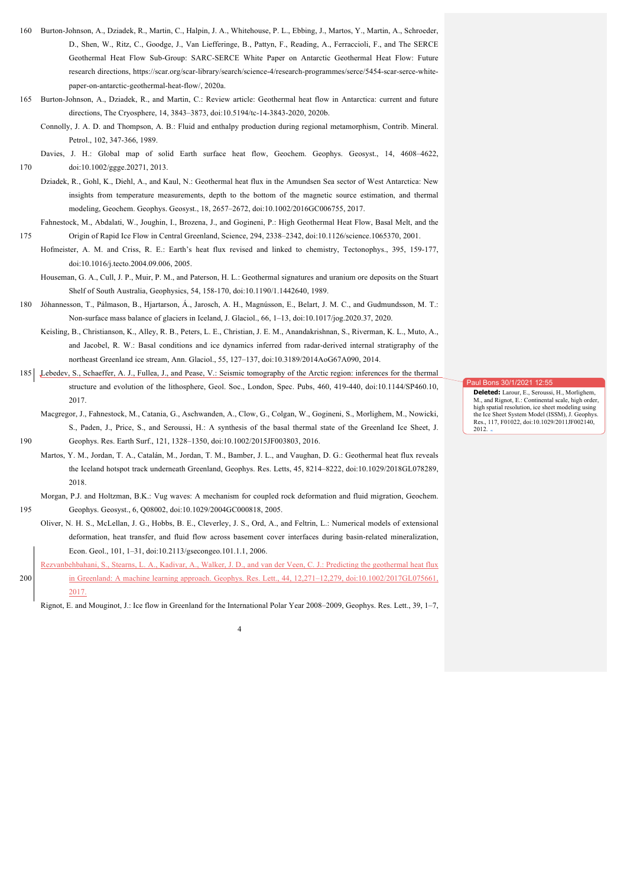- 160 Burton-Johnson, A., Dziadek, R., Martin, C., Halpin, J. A., Whitehouse, P. L., Ebbing, J., Martos, Y., Martin, A., Schroeder, D., Shen, W., Ritz, C., Goodge, J., Van Liefferinge, B., Pattyn, F., Reading, A., Ferraccioli, F., and The SERCE Geothermal Heat Flow Sub-Group: SARC-SERCE White Paper on Antarctic Geothermal Heat Flow: Future research directions, https://scar.org/scar-library/search/science-4/research-programmes/serce/5454-scar-serce-whitepaper-on-antarctic-geothermal-heat-flow/, 2020a.
- 165 Burton-Johnson, A., Dziadek, R., and Martin, C.: Review article: Geothermal heat flow in Antarctica: current and future directions, The Cryosphere, 14, 3843–3873, doi:10.5194/tc-14-3843-2020, 2020b.
	- Connolly, J. A. D. and Thompson, A. B.: Fluid and enthalpy production during regional metamorphism, Contrib. Mineral. Petrol., 102, 347-366, 1989.

- Dziadek, R., Gohl, K., Diehl, A., and Kaul, N.: Geothermal heat flux in the Amundsen Sea sector of West Antarctica: New insights from temperature measurements, depth to the bottom of the magnetic source estimation, and thermal modeling, Geochem. Geophys. Geosyst., 18, 2657–2672, doi:10.1002/2016GC006755, 2017.
- Fahnestock, M., Abdalati, W., Joughin, I., Brozena, J., and Gogineni, P.: High Geothermal Heat Flow, Basal Melt, and the 175 Origin of Rapid Ice Flow in Central Greenland, Science, 294, 2338–2342, doi:10.1126/science.1065370, 2001.
	- Hofmeister, A. M. and Criss, R. E.: Earth's heat flux revised and linked to chemistry, Tectonophys., 395, 159-177, doi:10.1016/j.tecto.2004.09.006, 2005.
		- Houseman, G. A., Cull, J. P., Muir, P. M., and Paterson, H. L.: Geothermal signatures and uranium ore deposits on the Stuart Shelf of South Australia, Geophysics, 54, 158-170, doi:10.1190/1.1442640, 1989.
- 180 Jóhannesson, T., Pálmason, B., Hjartarson, Á., Jarosch, A. H., Magnússon, E., Belart, J. M. C., and Gudmundsson, M. T.: Non-surface mass balance of glaciers in Iceland, J. Glaciol., 66, 1–13, doi:10.1017/jog.2020.37, 2020.
	- Keisling, B., Christianson, K., Alley, R. B., Peters, L. E., Christian, J. E. M., Anandakrishnan, S., Riverman, K. L., Muto, A., and Jacobel, R. W.: Basal conditions and ice dynamics inferred from radar-derived internal stratigraphy of the northeast Greenland ice stream, Ann. Glaciol., 55, 127–137, doi:10.3189/2014AoG67A090, 2014.
- 185 Lebedev, S., Schaeffer, A. J., Fullea, J., and Pease, V.: Seismic tomography of the Arctic region: inferences for the thermal structure and evolution of the lithosphere, Geol. Soc., London, Spec. Pubs, 460, 419-440, doi:10.1144/SP460.10, 2017.
- Macgregor, J., Fahnestock, M., Catania, G., Aschwanden, A., Clow, G., Colgan, W., Gogineni, S., Morlighem, M., Nowicki, S., Paden, J., Price, S., and Seroussi, H.: A synthesis of the basal thermal state of the Greenland Ice Sheet, J. 190 Geophys. Res. Earth Surf., 121, 1328–1350, doi:10.1002/2015JF003803, 2016.
- Martos, Y. M., Jordan, T. A., Catalán, M., Jordan, T. M., Bamber, J. L., and Vaughan, D. G.: Geothermal heat flux reveals the Iceland hotspot track underneath Greenland, Geophys. Res. Letts, 45, 8214–8222, doi:10.1029/2018GL078289, 2018.
- Morgan, P.J. and Holtzman, B.K.: Vug waves: A mechanism for coupled rock deformation and fluid migration, Geochem. 195 Geophys. Geosyst., 6, Q08002, doi:10.1029/2004GC000818, 2005.
	- Oliver, N. H. S., McLellan, J. G., Hobbs, B. E., Cleverley, J. S., Ord, A., and Feltrin, L.: Numerical models of extensional deformation, heat transfer, and fluid flow across basement cover interfaces during basin-related mineralization, Econ. Geol., 101, 1–31, doi:10.2113/gsecongeo.101.1.1, 2006.
- Rezvanbehbahani, S., Stearns, L. A., Kadivar, A., Walker, J. D., and van der Veen, C. J.: Predicting the geothermal heat flux 200 in Greenland: A machine learning approach. Geophys. Res. Lett., 44, 12,271–12,279, doi:10.1002/2017GL075661, 2017.

Rignot, E. and Mouginot, J.: Ice flow in Greenland for the International Polar Year 2008–2009, Geophys. Res. Lett., 39, 1–7,

 $30/1/2021$  12:5

**Deleted:** Larour, E., Seroussi, H., Morlighem, M., and Rignot, E.: Continental scale, high order, high spatial resolution, ice sheet modeling using the Ice Sheet System Model (ISSM), J. Geophys. Res., 117, F01022, doi:10.1029/2011JF002140, 2012.

4

Davies, J. H.: Global map of solid Earth surface heat flow, Geochem. Geophys. Geosyst., 14, 4608-4622, 170 doi:10.1002/ggge.20271, 2013.